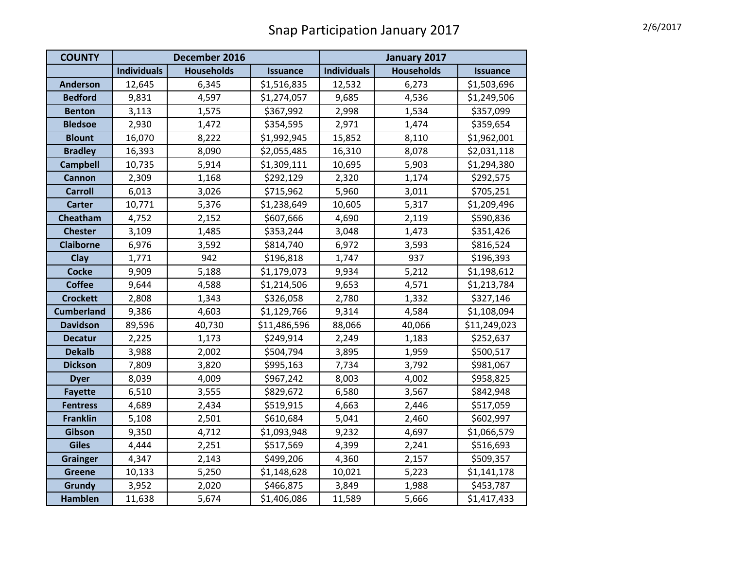| <b>COUNTY</b>     | December 2016      |                   |                 | January 2017       |                   |                 |
|-------------------|--------------------|-------------------|-----------------|--------------------|-------------------|-----------------|
|                   | <b>Individuals</b> | <b>Households</b> | <b>Issuance</b> | <b>Individuals</b> | <b>Households</b> | <b>Issuance</b> |
| <b>Anderson</b>   | 12,645             | 6,345             | \$1,516,835     | 12,532             | 6,273             | \$1,503,696     |
| <b>Bedford</b>    | 9,831              | 4,597             | \$1,274,057     | 9,685              | 4,536             | \$1,249,506     |
| <b>Benton</b>     | 3,113              | 1,575             | \$367,992       | 2,998              | 1,534             | \$357,099       |
| <b>Bledsoe</b>    | 2,930              | 1,472             | \$354,595       | 2,971              | 1,474             | \$359,654       |
| <b>Blount</b>     | 16,070             | 8,222             | \$1,992,945     | 15,852             | 8,110             | \$1,962,001     |
| <b>Bradley</b>    | 16,393             | 8,090             | \$2,055,485     | 16,310             | 8,078             | \$2,031,118     |
| <b>Campbell</b>   | 10,735             | 5,914             | \$1,309,111     | 10,695             | 5,903             | \$1,294,380     |
| Cannon            | 2,309              | 1,168             | \$292,129       | 2,320              | 1,174             | \$292,575       |
| <b>Carroll</b>    | 6,013              | 3,026             | \$715,962       | 5,960              | 3,011             | \$705,251       |
| <b>Carter</b>     | 10,771             | 5,376             | \$1,238,649     | 10,605             | 5,317             | \$1,209,496     |
| Cheatham          | 4,752              | 2,152             | \$607,666       | 4,690              | 2,119             | \$590,836       |
| <b>Chester</b>    | 3,109              | 1,485             | \$353,244       | 3,048              | 1,473             | \$351,426       |
| <b>Claiborne</b>  | 6,976              | 3,592             | \$814,740       | 6,972              | 3,593             | \$816,524       |
| Clay              | 1,771              | 942               | \$196,818       | 1,747              | 937               | \$196,393       |
| <b>Cocke</b>      | 9,909              | 5,188             | \$1,179,073     | 9,934              | 5,212             | \$1,198,612     |
| <b>Coffee</b>     | 9,644              | 4,588             | \$1,214,506     | 9,653              | 4,571             | \$1,213,784     |
| <b>Crockett</b>   | 2,808              | 1,343             | \$326,058       | 2,780              | 1,332             | \$327,146       |
| <b>Cumberland</b> | 9,386              | 4,603             | \$1,129,766     | 9,314              | 4,584             | \$1,108,094     |
| <b>Davidson</b>   | 89,596             | 40,730            | \$11,486,596    | 88,066             | 40,066            | \$11,249,023    |
| <b>Decatur</b>    | 2,225              | 1,173             | \$249,914       | 2,249              | 1,183             | \$252,637       |
| <b>Dekalb</b>     | 3,988              | 2,002             | \$504,794       | 3,895              | 1,959             | \$500,517       |
| <b>Dickson</b>    | 7,809              | 3,820             | \$995,163       | 7,734              | 3,792             | \$981,067       |
| <b>Dyer</b>       | 8,039              | 4,009             | \$967,242       | 8,003              | 4,002             | \$958,825       |
| <b>Fayette</b>    | 6,510              | 3,555             | \$829,672       | 6,580              | 3,567             | \$842,948       |
| <b>Fentress</b>   | 4,689              | 2,434             | \$519,915       | 4,663              | 2,446             | \$517,059       |
| <b>Franklin</b>   | 5,108              | 2,501             | \$610,684       | 5,041              | 2,460             | \$602,997       |
| Gibson            | 9,350              | 4,712             | \$1,093,948     | 9,232              | 4,697             | \$1,066,579     |
| <b>Giles</b>      | 4,444              | 2,251             | \$517,569       | 4,399              | 2,241             | \$516,693       |
| <b>Grainger</b>   | 4,347              | 2,143             | \$499,206       | 4,360              | 2,157             | \$509,357       |
| <b>Greene</b>     | 10,133             | 5,250             | \$1,148,628     | 10,021             | 5,223             | \$1,141,178     |
| Grundy            | 3,952              | 2,020             | \$466,875       | 3,849              | 1,988             | \$453,787       |
| <b>Hamblen</b>    | 11,638             | 5,674             | \$1,406,086     | 11,589             | 5,666             | \$1,417,433     |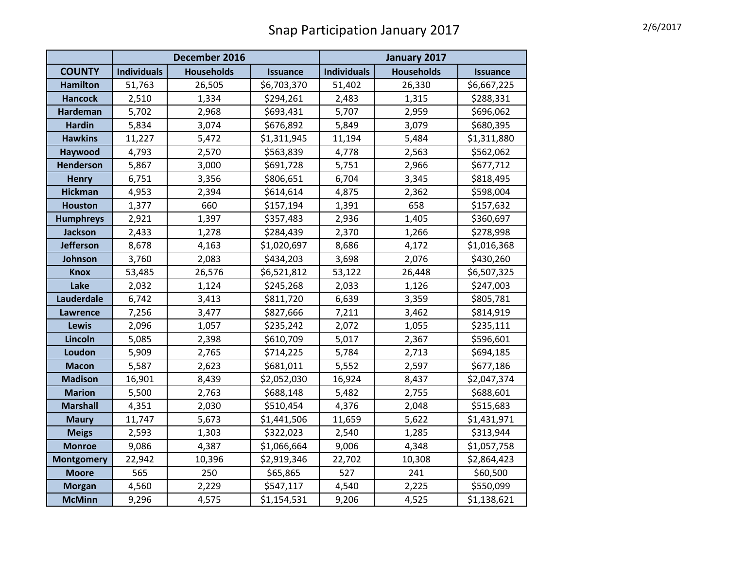## Snap Participation January 2017 Manus 2017

|                   | December 2016      |                   |                 | January 2017       |                   |                 |
|-------------------|--------------------|-------------------|-----------------|--------------------|-------------------|-----------------|
| <b>COUNTY</b>     | <b>Individuals</b> | <b>Households</b> | <b>Issuance</b> | <b>Individuals</b> | <b>Households</b> | <b>Issuance</b> |
| <b>Hamilton</b>   | 51,763             | 26,505            | \$6,703,370     | 51,402             | 26,330            | \$6,667,225     |
| <b>Hancock</b>    | 2,510              | 1,334             | \$294,261       | 2,483              | 1,315             | \$288,331       |
| <b>Hardeman</b>   | 5,702              | 2,968             | \$693,431       | 5,707              | 2,959             | \$696,062       |
| <b>Hardin</b>     | 5,834              | 3,074             | \$676,892       | 5,849              | 3,079             | \$680,395       |
| <b>Hawkins</b>    | 11,227             | 5,472             | \$1,311,945     | 11,194             | 5,484             | \$1,311,880     |
| Haywood           | 4,793              | 2,570             | \$563,839       | 4,778              | 2,563             | \$562,062       |
| <b>Henderson</b>  | 5,867              | 3,000             | \$691,728       | 5,751              | 2,966             | \$677,712       |
| <b>Henry</b>      | 6,751              | 3,356             | \$806,651       | 6,704              | 3,345             | \$818,495       |
| <b>Hickman</b>    | 4,953              | 2,394             | \$614,614       | 4,875              | 2,362             | \$598,004       |
| <b>Houston</b>    | 1,377              | 660               | \$157,194       | 1,391              | 658               | \$157,632       |
| <b>Humphreys</b>  | 2,921              | 1,397             | \$357,483       | 2,936              | 1,405             | \$360,697       |
| <b>Jackson</b>    | 2,433              | 1,278             | \$284,439       | 2,370              | 1,266             | \$278,998       |
| <b>Jefferson</b>  | 8,678              | 4,163             | \$1,020,697     | 8,686              | 4,172             | \$1,016,368     |
| Johnson           | 3,760              | 2,083             | \$434,203       | 3,698              | 2,076             | \$430,260       |
| <b>Knox</b>       | 53,485             | 26,576            | \$6,521,812     | 53,122             | 26,448            | \$6,507,325     |
| Lake              | 2,032              | 1,124             | \$245,268       | 2,033              | 1,126             | \$247,003       |
| Lauderdale        | 6,742              | 3,413             | \$811,720       | 6,639              | 3,359             | \$805,781       |
| <b>Lawrence</b>   | 7,256              | 3,477             | \$827,666       | 7,211              | 3,462             | \$814,919       |
| <b>Lewis</b>      | 2,096              | 1,057             | \$235,242       | 2,072              | 1,055             | \$235,111       |
| Lincoln           | 5,085              | 2,398             | \$610,709       | 5,017              | 2,367             | \$596,601       |
| Loudon            | 5,909              | 2,765             | \$714,225       | 5,784              | 2,713             | \$694,185       |
| <b>Macon</b>      | 5,587              | 2,623             | \$681,011       | 5,552              | 2,597             | \$677,186       |
| <b>Madison</b>    | 16,901             | 8,439             | \$2,052,030     | 16,924             | 8,437             | \$2,047,374     |
| <b>Marion</b>     | 5,500              | 2,763             | \$688,148       | 5,482              | 2,755             | \$688,601       |
| <b>Marshall</b>   | 4,351              | 2,030             | \$510,454       | 4,376              | 2,048             | \$515,683       |
| <b>Maury</b>      | 11,747             | 5,673             | \$1,441,506     | 11,659             | 5,622             | \$1,431,971     |
| <b>Meigs</b>      | 2,593              | 1,303             | \$322,023       | 2,540              | 1,285             | \$313,944       |
| <b>Monroe</b>     | 9,086              | 4,387             | \$1,066,664     | 9,006              | 4,348             | \$1,057,758     |
| <b>Montgomery</b> | 22,942             | 10,396            | \$2,919,346     | 22,702             | 10,308            | \$2,864,423     |
| <b>Moore</b>      | 565                | 250               | \$65,865        | 527                | 241               | \$60,500        |
| <b>Morgan</b>     | 4,560              | 2,229             | \$547,117       | 4,540              | 2,225             | \$550,099       |
| <b>McMinn</b>     | 9,296              | 4,575             | \$1,154,531     | 9,206              | 4,525             | \$1,138,621     |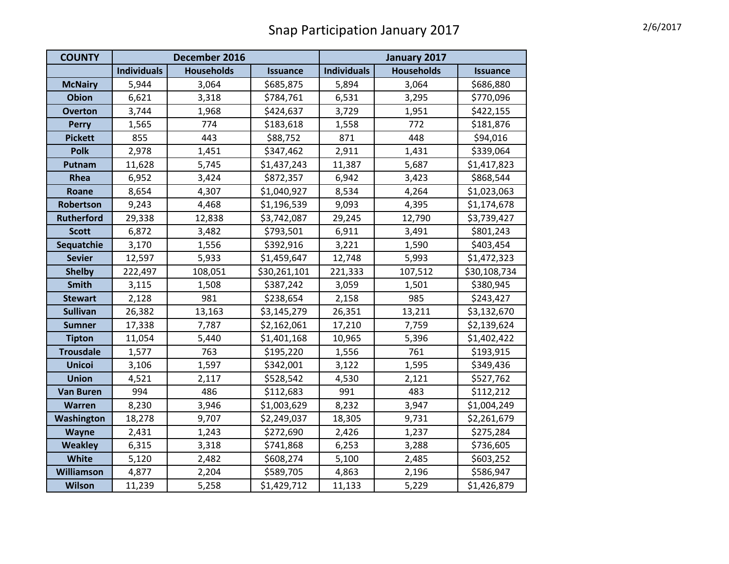| <b>COUNTY</b>     | December 2016      |                   |                 | January 2017       |                   |                 |
|-------------------|--------------------|-------------------|-----------------|--------------------|-------------------|-----------------|
|                   | <b>Individuals</b> | <b>Households</b> | <b>Issuance</b> | <b>Individuals</b> | <b>Households</b> | <b>Issuance</b> |
| <b>McNairy</b>    | 5,944              | 3,064             | \$685,875       | 5,894              | 3,064             | \$686,880       |
| <b>Obion</b>      | 6,621              | 3,318             | \$784,761       | 6,531              | 3,295             | \$770,096       |
| <b>Overton</b>    | 3,744              | 1,968             | \$424,637       | 3,729              | 1,951             | \$422,155       |
| <b>Perry</b>      | 1,565              | 774               | \$183,618       | 1,558              | 772               | \$181,876       |
| <b>Pickett</b>    | 855                | 443               | \$88,752        | 871                | 448               | \$94,016        |
| <b>Polk</b>       | 2,978              | 1,451             | \$347,462       | 2,911              | 1,431             | \$339,064       |
| Putnam            | 11,628             | 5,745             | \$1,437,243     | 11,387             | 5,687             | \$1,417,823     |
| Rhea              | 6,952              | 3,424             | \$872,357       | 6,942              | 3,423             | \$868,544       |
| Roane             | 8,654              | 4,307             | \$1,040,927     | 8,534              | 4,264             | \$1,023,063     |
| Robertson         | 9,243              | 4,468             | \$1,196,539     | 9,093              | 4,395             | \$1,174,678     |
| <b>Rutherford</b> | 29,338             | 12,838            | \$3,742,087     | 29,245             | 12,790            | \$3,739,427     |
| <b>Scott</b>      | 6,872              | 3,482             | \$793,501       | 6,911              | 3,491             | \$801,243       |
| Sequatchie        | 3,170              | 1,556             | \$392,916       | 3,221              | 1,590             | \$403,454       |
| <b>Sevier</b>     | 12,597             | 5,933             | \$1,459,647     | 12,748             | 5,993             | \$1,472,323     |
| <b>Shelby</b>     | 222,497            | 108,051           | \$30,261,101    | 221,333            | 107,512           | \$30,108,734    |
| <b>Smith</b>      | 3,115              | 1,508             | \$387,242       | 3,059              | 1,501             | \$380,945       |
| <b>Stewart</b>    | 2,128              | 981               | \$238,654       | 2,158              | 985               | \$243,427       |
| <b>Sullivan</b>   | 26,382             | 13,163            | \$3,145,279     | 26,351             | 13,211            | \$3,132,670     |
| <b>Sumner</b>     | 17,338             | 7,787             | \$2,162,061     | 17,210             | 7,759             | \$2,139,624     |
| <b>Tipton</b>     | 11,054             | 5,440             | \$1,401,168     | 10,965             | 5,396             | \$1,402,422     |
| <b>Trousdale</b>  | 1,577              | 763               | \$195,220       | 1,556              | 761               | \$193,915       |
| <b>Unicoi</b>     | 3,106              | 1,597             | \$342,001       | 3,122              | 1,595             | \$349,436       |
| <b>Union</b>      | 4,521              | 2,117             | \$528,542       | 4,530              | 2,121             | \$527,762       |
| <b>Van Buren</b>  | 994                | 486               | \$112,683       | 991                | 483               | \$112,212       |
| Warren            | 8,230              | 3,946             | \$1,003,629     | 8,232              | 3,947             | \$1,004,249     |
| Washington        | 18,278             | 9,707             | \$2,249,037     | 18,305             | 9,731             | \$2,261,679     |
| Wayne             | 2,431              | 1,243             | \$272,690       | 2,426              | 1,237             | \$275,284       |
| <b>Weakley</b>    | 6,315              | 3,318             | \$741,868       | 6,253              | 3,288             | \$736,605       |
| White             | 5,120              | 2,482             | \$608,274       | 5,100              | 2,485             | \$603,252       |
| Williamson        | 4,877              | 2,204             | \$589,705       | 4,863              | 2,196             | \$586,947       |
| <b>Wilson</b>     | 11,239             | 5,258             | \$1,429,712     | 11,133             | 5,229             | \$1,426,879     |